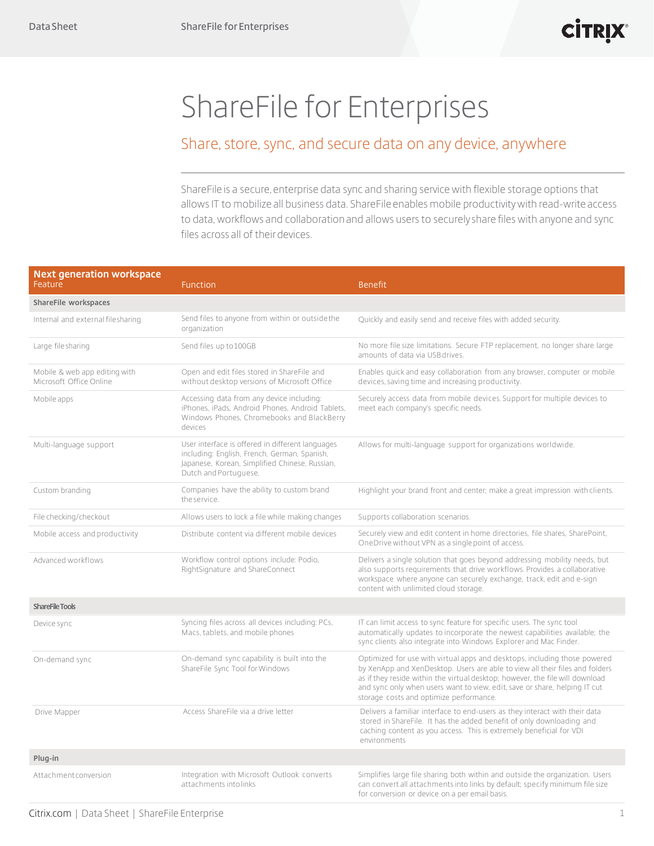## ShareFile for Enterprises

## Share, store, sync, and secure data on any device, anywhere

ShareFile is a secure, enterprise data sync and sharing service with flexible storage options that allows IT to mobilize all business data. ShareFile enables mobile productivity with read-write access to data, workflows and collaboration and allows users to securely share files with anyone and sync files across all of their devices.

| <b>Next generation workspace</b><br>Feature              | <b>Function</b>                                                                                                                                                             | <b>Benefit</b>                                                                                                                                                                                                                                                                                                                                                      |
|----------------------------------------------------------|-----------------------------------------------------------------------------------------------------------------------------------------------------------------------------|---------------------------------------------------------------------------------------------------------------------------------------------------------------------------------------------------------------------------------------------------------------------------------------------------------------------------------------------------------------------|
| ShareFile workspaces                                     |                                                                                                                                                                             |                                                                                                                                                                                                                                                                                                                                                                     |
| Internal and external filesharing                        | Send files to anyone from within or outside the<br>organization                                                                                                             | Quickly and easily send and receive files with added security.                                                                                                                                                                                                                                                                                                      |
| Large file sharing                                       | Send files up to 100GB                                                                                                                                                      | No more file size limitations. Secure FTP replacement, no longer share large<br>amounts of data via USB drives.                                                                                                                                                                                                                                                     |
| Mobile & web app editing with<br>Microsoft Office Online | Open and edit files stored in ShareFile and<br>without desktop versions of Microsoft Office                                                                                 | Enables quick and easy collaboration from any browser, computer or mobile<br>devices, saving time and increasing productivity.                                                                                                                                                                                                                                      |
| Mobile apps                                              | Accessing data from any device including:<br>iPhones, iPads, Android Phones, Android Tablets,<br>Windows Phones, Chromebooks and BlackBerry<br>devices                      | Securely access data from mobile devices. Support for multiple devices to<br>meet each company's specific needs.                                                                                                                                                                                                                                                    |
| Multi-language support                                   | User interface is offered in different languages<br>including: English, French, German, Spanish,<br>Japanese, Korean, Simplified Chinese, Russian,<br>Dutch and Portuguese. | Allows for multi-language support for organizations worldwide.                                                                                                                                                                                                                                                                                                      |
| Custom branding                                          | Companies have the ability to custom brand<br>the service.                                                                                                                  | Highlight your brand front and center; make a great impression with clients.                                                                                                                                                                                                                                                                                        |
| File checking/checkout                                   | Allows users to lock a file while making changes                                                                                                                            | Supports collaboration scenarios.                                                                                                                                                                                                                                                                                                                                   |
| Mobile access and productivity                           | Distribute content via different mobile devices                                                                                                                             | Securely view and edit content in home directories, file shares, SharePoint,<br>OneDrive without VPN as a single point of access.                                                                                                                                                                                                                                   |
| Advanced workflows                                       | Workflow control options include: Podio,<br>RightSignature and ShareConnect                                                                                                 | Delivers a single solution that goes beyond addressing mobility needs, but<br>also supports requirements that drive workflows. Provides a collaborative<br>workspace where anyone can securely exchange, track, edit and e-sign<br>content with unlimited cloud storage.                                                                                            |
| ShareFile Tools                                          |                                                                                                                                                                             |                                                                                                                                                                                                                                                                                                                                                                     |
| Device sync                                              | Syncing files across all devices including: PCs,<br>Macs, tablets, and mobile phones                                                                                        | IT can limit access to sync feature for specific users. The sync tool<br>automatically updates to incorporate the newest capabilities available; the<br>sync clients also integrate into Windows Explorer and Mac Finder.                                                                                                                                           |
| On-demand sync                                           | On-demand sync capability is built into the<br>ShareFile Sync Tool for Windows                                                                                              | Optimized for use with virtual apps and desktops, including those powered<br>by XenApp and XenDesktop. Users are able to view all their files and folders<br>as if they reside within the virtual desktop; however, the file will download<br>and sync only when users want to view, edit, save or share, helping IT cut<br>storage costs and optimize performance. |
| Drive Mapper                                             | Access ShareFile via a drive letter                                                                                                                                         | Delivers a familiar interface to end-users as they interact with their data<br>stored in ShareFile. It has the added benefit of only downloading and<br>caching content as you access. This is extremely beneficial for VDI<br>environments                                                                                                                         |
| Plug-in                                                  |                                                                                                                                                                             |                                                                                                                                                                                                                                                                                                                                                                     |
| Attachment conversion                                    | Integration with Microsoft Outlook converts<br>attachments into links                                                                                                       | Simplifies large file sharing both within and outside the organization. Users<br>can convert all attachments into links by default; specify minimum file size<br>for conversion or device on a per email basis.                                                                                                                                                     |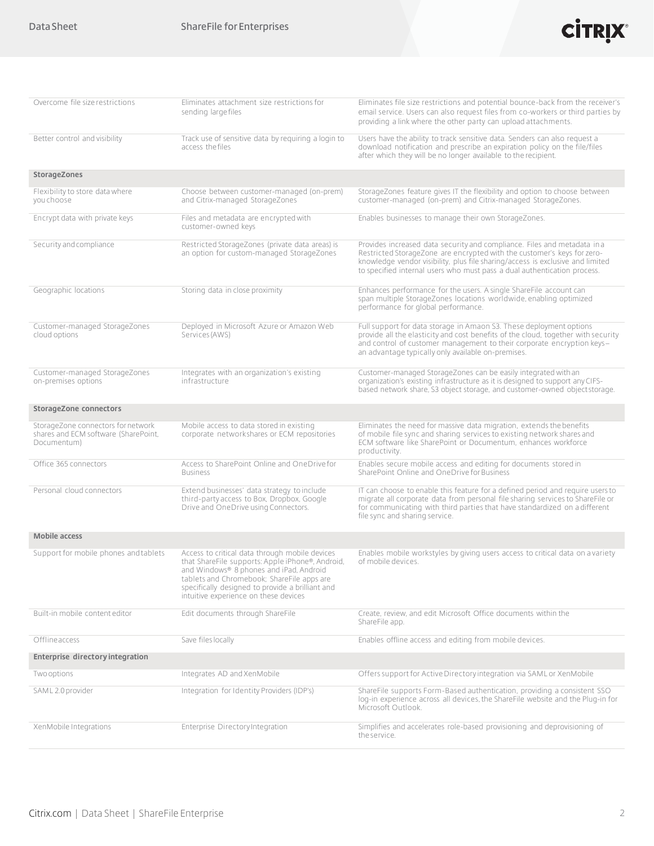

| Overcome file size restrictions                                                           | Eliminates attachment size restrictions for<br>sending large files                                                                                                                                                                                                                       | Eliminates file size restrictions and potential bounce-back from the receiver's<br>email service. Users can also request files from co-workers or third parties by<br>providing a link where the other party can upload attachments.                                                                              |
|-------------------------------------------------------------------------------------------|------------------------------------------------------------------------------------------------------------------------------------------------------------------------------------------------------------------------------------------------------------------------------------------|-------------------------------------------------------------------------------------------------------------------------------------------------------------------------------------------------------------------------------------------------------------------------------------------------------------------|
| Better control and visibility                                                             | Track use of sensitive data by requiring a login to<br>access the files                                                                                                                                                                                                                  | Users have the ability to track sensitive data. Senders can also request a<br>download notification and prescribe an expiration policy on the file/files<br>after which they will be no longer available to the recipient.                                                                                        |
| StorageZones                                                                              |                                                                                                                                                                                                                                                                                          |                                                                                                                                                                                                                                                                                                                   |
| Flexibility to store data where<br>you choose                                             | Choose between customer-managed (on-prem)<br>and Citrix-managed StorageZones                                                                                                                                                                                                             | StorageZones feature gives IT the flexibility and option to choose between<br>customer-managed (on-prem) and Citrix-managed StorageZones.                                                                                                                                                                         |
| Encrypt data with private keys                                                            | Files and metadata are encrypted with<br>customer-owned keys                                                                                                                                                                                                                             | Enables businesses to manage their own StorageZones.                                                                                                                                                                                                                                                              |
| Security and compliance                                                                   | Restricted StorageZones (private data areas) is<br>an option for custom-managed StorageZones                                                                                                                                                                                             | Provides increased data security and compliance. Files and metadata in a<br>Restricted StorageZone are encrypted with the customer's keys for zero-<br>knowledge vendor visibility, plus file sharing/access is exclusive and limited<br>to specified internal users who must pass a dual authentication process. |
| Geographic locations                                                                      | Storing data in close proximity                                                                                                                                                                                                                                                          | Enhances performance for the users. A single ShareFile account can<br>span multiple StorageZones locations worldwide, enabling optimized<br>performance for global performance.                                                                                                                                   |
| Customer-managed StorageZones<br>cloud options                                            | Deployed in Microsoft Azure or Amazon Web<br>Services (AWS)                                                                                                                                                                                                                              | Full support for data storage in Amaon S3. These deployment options<br>provide all the elasticity and cost benefits of the cloud, together with security<br>and control of customer management to their corporate encryption keys-<br>an advantage typically only available on-premises.                          |
| Customer-managed StorageZones<br>on-premises options                                      | Integrates with an organization's existing<br>infrastructure                                                                                                                                                                                                                             | Customer-managed StorageZones can be easily integrated with an<br>organization's existing infrastructure as it is designed to support any CIFS-<br>based network share, S3 object storage, and customer-owned object storage.                                                                                     |
| StorageZone connectors                                                                    |                                                                                                                                                                                                                                                                                          |                                                                                                                                                                                                                                                                                                                   |
| StorageZone connectors for network<br>shares and ECM software (SharePoint,<br>Documentum) | Mobile access to data stored in existing<br>corporate networkshares or ECM repositories                                                                                                                                                                                                  | Eliminates the need for massive data migration, extends the benefits<br>of mobile file sync and sharing services to existing network shares and<br>ECM software like SharePoint or Documentum, enhances workforce<br>productivity.                                                                                |
| Office 365 connectors                                                                     | Access to SharePoint Online and OneDrive for<br><b>Business</b>                                                                                                                                                                                                                          | Enables secure mobile access and editing for documents stored in<br>SharePoint Online and OneDrive for Business                                                                                                                                                                                                   |
| Personal cloud connectors                                                                 | Extend businesses' data strategy to include<br>third-party access to Box, Dropbox, Google<br>Drive and OneDrive using Connectors.                                                                                                                                                        | IT can choose to enable this feature for a defined period and require users to<br>migrate all corporate data from personal file sharing services to ShareFile or<br>for communicating with third parties that have standardized on a different<br>file sync and sharing service.                                  |
| Mobile access                                                                             |                                                                                                                                                                                                                                                                                          |                                                                                                                                                                                                                                                                                                                   |
| Support for mobile phones and tablets                                                     | Access to critical data through mobile devices<br>that ShareFile supports: Apple iPhone®, Android,<br>and Windows® 8 phones and iPad, Android<br>tablets and Chromebook; ShareFile apps are<br>specifically designed to provide a brilliant and<br>intuitive experience on these devices | Enables mobile workstyles by giving users access to critical data on avariety<br>of mobile devices.                                                                                                                                                                                                               |
| Built-in mobile content editor                                                            | Edit documents through ShareFile                                                                                                                                                                                                                                                         | Create, review, and edit Microsoft Office documents within the<br>ShareFile app.                                                                                                                                                                                                                                  |
| Offlineaccess                                                                             | Save files locally                                                                                                                                                                                                                                                                       | Enables offline access and editing from mobile devices.                                                                                                                                                                                                                                                           |
| Enterprise directory integration                                                          |                                                                                                                                                                                                                                                                                          |                                                                                                                                                                                                                                                                                                                   |
| Two options                                                                               | Integrates AD and XenMobile                                                                                                                                                                                                                                                              | Offers support for Active Directory integration via SAML or XenMobile                                                                                                                                                                                                                                             |
| SAML 2.0 provider                                                                         | Integration for Identity Providers (IDP's)                                                                                                                                                                                                                                               | ShareFile supports Form-Based authentication, providing a consistent SSO<br>log-in experience across all devices, the ShareFile website and the Plug-in for<br>Microsoft Outlook.                                                                                                                                 |
| XenMobile Integrations                                                                    | Enterprise Directory Integration                                                                                                                                                                                                                                                         | Simplifies and accelerates role-based provisioning and deprovisioning of<br>the service.                                                                                                                                                                                                                          |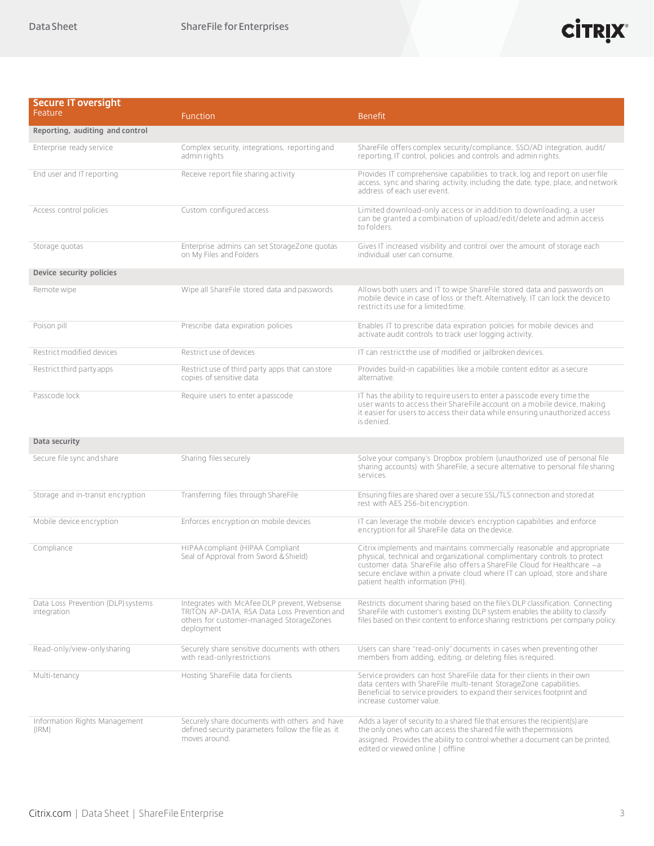| <b>Secure IT oversight</b><br>Feature             | <b>Function</b>                                                                                                                                        | <b>Benefit</b>                                                                                                                                                                                                                                                                                                                                     |  |
|---------------------------------------------------|--------------------------------------------------------------------------------------------------------------------------------------------------------|----------------------------------------------------------------------------------------------------------------------------------------------------------------------------------------------------------------------------------------------------------------------------------------------------------------------------------------------------|--|
| Reporting, auditing and control                   |                                                                                                                                                        |                                                                                                                                                                                                                                                                                                                                                    |  |
| Enterprise ready service                          | Complex security, integrations, reporting and<br>admin rights                                                                                          | ShareFile offers complex security/compliance, SSO/AD integration, audit/<br>reporting, IT control, policies and controls and admin rights.                                                                                                                                                                                                         |  |
| End user and IT reporting                         | Receive report file sharing activity                                                                                                                   | Provides IT comprehensive capabilities to track, log and report on user file<br>access, sync and sharing activity, including the date, type, place, and network<br>address of each user event.                                                                                                                                                     |  |
| Access control policies                           | Custom configured access                                                                                                                               | Limited download-only access or in addition to downloading, a user<br>can be granted a combination of upload/edit/delete and admin access<br>to folders.                                                                                                                                                                                           |  |
| Storage quotas                                    | Enterprise admins can set StorageZone quotas<br>on My Files and Folders                                                                                | Gives IT increased visibility and control over the amount of storage each<br>individual user can consume.                                                                                                                                                                                                                                          |  |
| Device security policies                          |                                                                                                                                                        |                                                                                                                                                                                                                                                                                                                                                    |  |
| Remote wipe                                       | Wipe all ShareFile stored data and passwords                                                                                                           | Allows both users and IT to wipe ShareFile stored data and passwords on<br>mobile device in case of loss or theft. Alternatively, IT can lock the device to<br>restrict its use for a limited time.                                                                                                                                                |  |
| Poison pill                                       | Prescribe data expiration policies                                                                                                                     | Enables IT to prescribe data expiration policies for mobile devices and<br>activate audit controls to track user logging activity.                                                                                                                                                                                                                 |  |
| Restrict modified devices                         | Restrict use of devices                                                                                                                                | IT can restrict the use of modified or jailbroken devices.                                                                                                                                                                                                                                                                                         |  |
| Restrict third party apps                         | Restrict use of third party apps that can store<br>copies of sensitive data                                                                            | Provides build-in capabilities like a mobile content editor as a secure<br>alternative.                                                                                                                                                                                                                                                            |  |
| Passcode lock                                     | Require users to enter a passcode                                                                                                                      | IT has the ability to require users to enter a passcode every time the<br>user wants to access their Share File account on a mobile device, making<br>it easier for users to access their data while ensuring unauthorized access<br>is denied.                                                                                                    |  |
| Data security                                     |                                                                                                                                                        |                                                                                                                                                                                                                                                                                                                                                    |  |
| Secure file sync and share                        | Sharing files securely                                                                                                                                 | Solve your company's Dropbox problem (unauthorized use of personal file<br>sharing accounts) with ShareFile, a secure alternative to personal file sharing<br>services.                                                                                                                                                                            |  |
| Storage and in-transit encryption                 | Transferring files through ShareFile                                                                                                                   | Ensuring files are shared over a secure SSL/TLS connection and stored at<br>rest with AES 256-bit encryption.                                                                                                                                                                                                                                      |  |
| Mobile device encryption                          | Enforces encryption on mobile devices                                                                                                                  | IT can leverage the mobile device's encryption capabilities and enforce<br>encryption for all ShareFile data on the device.                                                                                                                                                                                                                        |  |
| Compliance                                        | HIPAA compliant (HIPAA Compliant<br>Seal of Approval from Sword & Shield)                                                                              | Citrix implements and maintains commercially reasonable and appropriate<br>physical, technical and organizational complimentary controls to protect<br>customer data. ShareFile also offers a ShareFile Cloud for Healthcare -a<br>secure enclave within a private cloud where IT can upload, store and share<br>patient health information (PHI). |  |
| Data Loss Prevention (DLP) systems<br>integration | Integrates with McAfee DLP prevent, Websense<br>TRITON AP-DATA, RSA Data Loss Prevention and<br>others for customer-managed StorageZones<br>deployment | Restricts document sharing based on the file's DLP classification. Connecting<br>ShareFile with customer's existing DLP system enables the ability to classify<br>files based on their content to enforce sharing restrictions per company policy.                                                                                                 |  |
| Read-only/view-only sharing                       | Securely share sensitive documents with others<br>with read-only restrictions                                                                          | Users can share "read-only" documents in cases when preventing other<br>members from adding, editing, or deleting files is required.                                                                                                                                                                                                               |  |
| Multi-tenancy                                     | Hosting ShareFile data for clients                                                                                                                     | Service providers can host ShareFile data for their clients in their own<br>data centers with ShareFile multi-tenant StorageZone capabilities.<br>Beneficial to service providers to expand their services footprint and<br>increase customer value.                                                                                               |  |
| Information Rights Management<br>(IRM)            | Securely share documents with others and have<br>defined security parameters follow the file as it<br>moves around.                                    | Adds a layer of security to a shared file that ensures the recipient(s) are<br>the only ones who can access the shared file with the permissions<br>assigned. Provides the ability to control whether a document can be printed,<br>edited or viewed online   offline                                                                              |  |